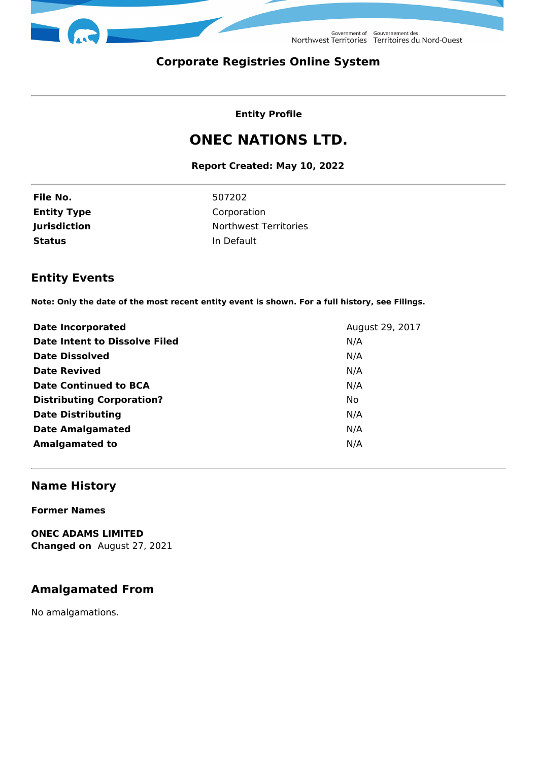

Government of Gouvernement des<br>Northwest Territories Territoires du Nord-Ouest

# **Corporate Registries Online System**

### **Entity Profile**

# **ONEC NATIONS LTD.**

### **Report Created: May 10, 2022**

| File No.            |
|---------------------|
| <b>Entity Type</b>  |
| <b>Jurisdiction</b> |
| Status              |

**File No.** 507202 **Corporation Northwest Territories In Default** 

# **Entity Events**

**Note: Only the date of the most recent entity event is shown. For a full history, see Filings.**

| <b>Date Incorporated</b>               | August 29, 2017 |
|----------------------------------------|-----------------|
| Date Intent to Dissolve Filed<br>N/A   |                 |
| <b>Date Dissolved</b><br>N/A           |                 |
| <b>Date Revived</b><br>N/A             |                 |
| Date Continued to BCA<br>N/A           |                 |
| <b>Distributing Corporation?</b><br>No |                 |
| <b>Date Distributing</b><br>N/A        |                 |
| <b>Date Amalgamated</b><br>N/A         |                 |
| <b>Amalgamated to</b><br>N/A           |                 |

# **Name History**

**Former Names**

**ONEC ADAMS LIMITED Changed on** August 27, 2021

# **Amalgamated From**

No amalgamations.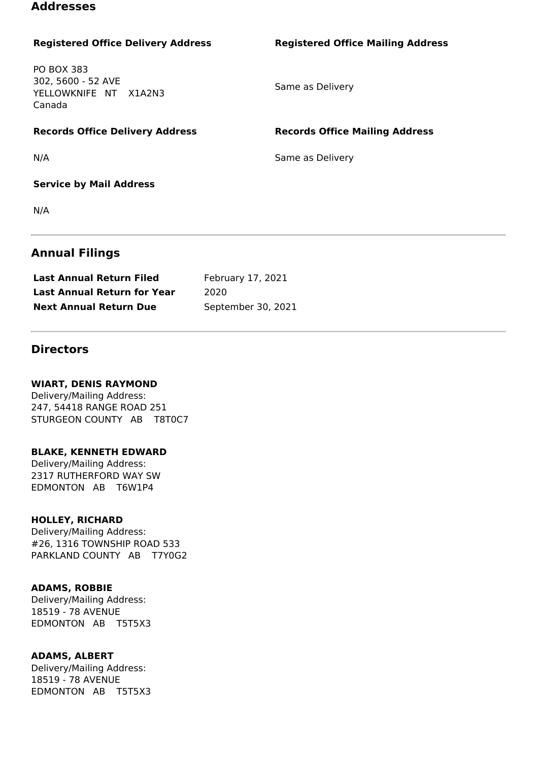### **Addresses**

### **Registered Office Delivery Address Registered Office Mailing Address**

PO BOX 383 302, 5600 - 52 AVE YELLOWKNIFE NT X1A2N3 Canada

Same as Delivery

**Records Office Delivery Address Records Office Mailing Address**

N/A Same as Delivery

**Service by Mail Address**

N/A

### **Annual Filings**

| <b>Last Annual Return Filed</b>    | February 17, 2021  |
|------------------------------------|--------------------|
| <b>Last Annual Return for Year</b> | 2020               |
| <b>Next Annual Return Due</b>      | September 30, 2021 |

### **Directors**

### **WIART, DENIS RAYMOND**

Delivery/Mailing Address: 247, 54418 RANGE ROAD 251 STURGEON COUNTY AB T8T0C7

#### **BLAKE, KENNETH EDWARD**

Delivery/Mailing Address: 2317 RUTHERFORD WAY SW EDMONTON AB T6W1P4

### **HOLLEY, RICHARD**

Delivery/Mailing Address: #26, 1316 TOWNSHIP ROAD 533 PARKLAND COUNTY AB T7Y0G2

### **ADAMS, ROBBIE**

Delivery/Mailing Address: 18519 - 78 AVENUE EDMONTON AB T5T5X3

#### **ADAMS, ALBERT**

Delivery/Mailing Address: 18519 - 78 AVENUE EDMONTON AB T5T5X3